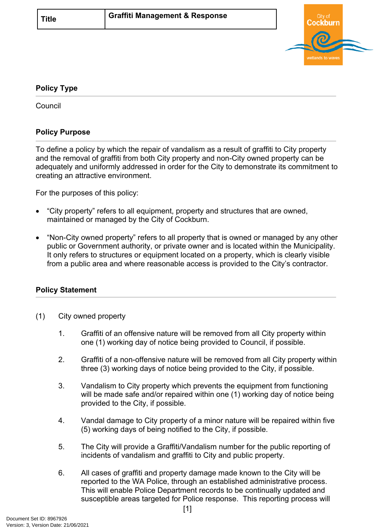

## <span id="page-0-0"></span>**[Policy Type](#page-0-0)**

**Council** 

## **Policy Purpose**

To define a policy by which the repair of vandalism as a result of graffiti to City property and the removal of graffiti from both City property and non-City owned property can be adequately and uniformly addressed in order for the City to demonstrate its commitment to creating an attractive environment.

For the purposes of this policy:

- "City property" refers to all equipment, property and structures that are owned, maintained or managed by the City of Cockburn.
- "Non-City owned property" refers to all property that is owned or managed by any other public or Government authority, or private owner and is located within the Municipality. It only refers to structures or equipment located on a property, which is clearly visible from a public area and where reasonable access is provided to the City's contractor.

## **[Policy Statement](#page-0-1)**

- <span id="page-0-1"></span>(1) City owned property
	- 1. Graffiti of an offensive nature will be removed from all City property within one (1) working day of notice being provided to Council, if possible.
	- 2. Graffiti of a non-offensive nature will be removed from all City property within three (3) working days of notice being provided to the City, if possible.
	- 3. Vandalism to City property which prevents the equipment from functioning will be made safe and/or repaired within one (1) working day of notice being provided to the City, if possible.
	- 4. Vandal damage to City property of a minor nature will be repaired within five (5) working days of being notified to the City, if possible.
	- 5. The City will provide a Graffiti/Vandalism number for the public reporting of incidents of vandalism and graffiti to City and public property.
	- 6. All cases of graffiti and property damage made known to the City will be reported to the WA Police, through an established administrative process. This will enable Police Department records to be continually updated and susceptible areas targeted for Police response. This reporting process will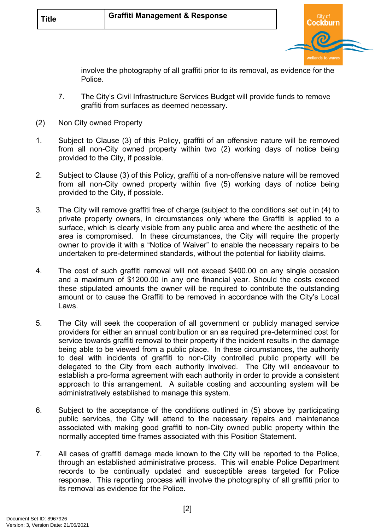

involve the photography of all graffiti prior to its removal, as evidence for the Police.

- 7. The City's Civil Infrastructure Services Budget will provide funds to remove graffiti from surfaces as deemed necessary.
- (2) Non City owned Property
- 1. Subject to Clause (3) of this Policy, graffiti of an offensive nature will be removed from all non-City owned property within two (2) working days of notice being provided to the City, if possible.
- 2. Subject to Clause (3) of this Policy, graffiti of a non-offensive nature will be removed from all non-City owned property within five (5) working days of notice being provided to the City, if possible.
- 3. The City will remove graffiti free of charge (subject to the conditions set out in (4) to private property owners, in circumstances only where the Graffiti is applied to a surface, which is clearly visible from any public area and where the aesthetic of the area is compromised. In these circumstances, the City will require the property owner to provide it with a "Notice of Waiver" to enable the necessary repairs to be undertaken to pre-determined standards, without the potential for liability claims.
- 4. The cost of such graffiti removal will not exceed \$400.00 on any single occasion and a maximum of \$1200.00 in any one financial year. Should the costs exceed these stipulated amounts the owner will be required to contribute the outstanding amount or to cause the Graffiti to be removed in accordance with the City's Local Laws.
- 5. The City will seek the cooperation of all government or publicly managed service providers for either an annual contribution or an as required pre-determined cost for service towards graffiti removal to their property if the incident results in the damage being able to be viewed from a public place. In these circumstances, the authority to deal with incidents of graffiti to non-City controlled public property will be delegated to the City from each authority involved. The City will endeavour to establish a pro-forma agreement with each authority in order to provide a consistent approach to this arrangement. A suitable costing and accounting system will be administratively established to manage this system.
- 6. Subject to the acceptance of the conditions outlined in (5) above by participating public services, the City will attend to the necessary repairs and maintenance associated with making good graffiti to non-City owned public property within the normally accepted time frames associated with this Position Statement.
- 7. All cases of graffiti damage made known to the City will be reported to the Police, through an established administrative process. This will enable Police Department records to be continually updated and susceptible areas targeted for Police response. This reporting process will involve the photography of all graffiti prior to its removal as evidence for the Police.